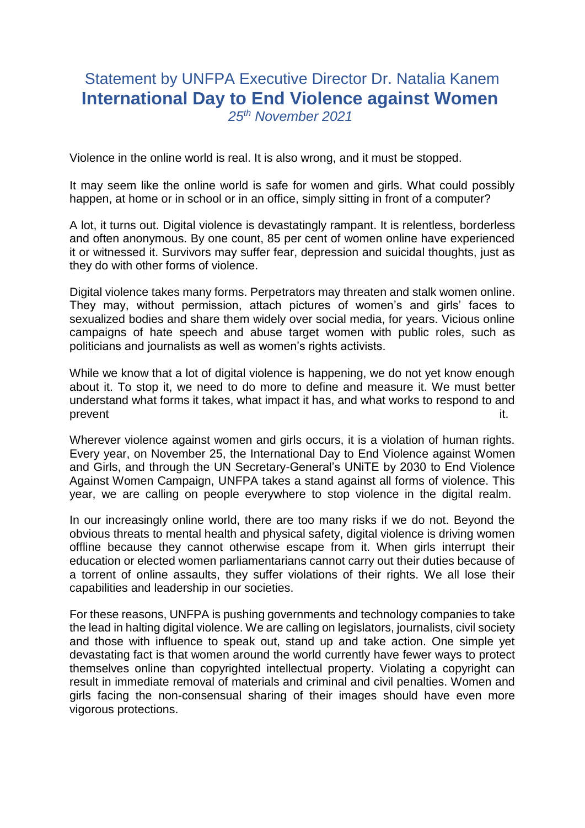## Statement by UNFPA Executive Director Dr. Natalia Kanem **International Day to End Violence against Women** *25th November 2021*

Violence in the online world is real. It is also wrong, and it must be stopped.

It may seem like the online world is safe for women and girls. What could possibly happen, at home or in school or in an office, simply sitting in front of a computer?

A lot, it turns out. Digital violence is devastatingly rampant. It is relentless, borderless and often anonymous. By one count, 85 per cent of women online have experienced it or witnessed it. Survivors may suffer fear, depression and suicidal thoughts, just as they do with other forms of violence.

Digital violence takes many forms. Perpetrators may threaten and stalk women online. They may, without permission, attach pictures of women's and girls' faces to sexualized bodies and share them widely over social media, for years. Vicious online campaigns of hate speech and abuse target women with public roles, such as politicians and journalists as well as women's rights activists.

While we know that a lot of digital violence is happening, we do not yet know enough about it. To stop it, we need to do more to define and measure it. We must better understand what forms it takes, what impact it has, and what works to respond to and prevent it. In the contract of the contract of the contract of the contract of the contract of the contract of

Wherever violence against women and girls occurs, it is a violation of human rights. Every year, on November 25, the International Day to End Violence against Women and Girls, and through the UN Secretary-General's UNiTE by 2030 to End Violence Against Women Campaign, UNFPA takes a stand against all forms of violence. This year, we are calling on people everywhere to stop violence in the digital realm.

In our increasingly online world, there are too many risks if we do not. Beyond the obvious threats to mental health and physical safety, digital violence is driving women offline because they cannot otherwise escape from it. When girls interrupt their education or elected women parliamentarians cannot carry out their duties because of a torrent of online assaults, they suffer violations of their rights. We all lose their capabilities and leadership in our societies.

For these reasons, UNFPA is pushing governments and technology companies to take the lead in halting digital violence. We are calling on legislators, journalists, civil society and those with influence to speak out, stand up and take action. One simple yet devastating fact is that women around the world currently have fewer ways to protect themselves online than copyrighted intellectual property. Violating a copyright can result in immediate removal of materials and criminal and civil penalties. Women and girls facing the non-consensual sharing of their images should have even more vigorous protections.